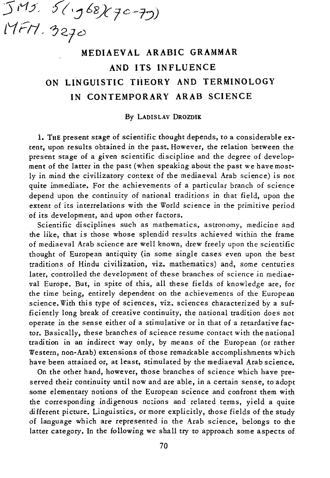5 ivt;J', )( I:) 68){ *t C-j:J)*  17 r 17 *. 3270* 

## MEDIAEV AL ARABIC GRAMMAR AND ITS INFLUENCE ON LINGUISTIC THEORY AND TERMINOLOGY IN CONTEMPORARY ARAB SCIENCE

## *By* LADISLAV DROZDIK

1. THE present stage of scientific thought depends, to a considerable extent, upon results obtained in the past. However, the relation between the present stage of a given scientific discipline and the degree of development of the latter in the past (when speaking about the past we have mostly in mind the civilizatory context of the mediaeval Arab science) is not quite immediate. For the achievements of a particular branch of science depend upon the continuity of national traditions in that field, upon the extent of its interrelations with the World science in the primitive period of its development, and upon other factors.

Scientific disciplines such as mathematics, astronomy, medicine and the like, that is those whose splendid results achieved within the frame of mediaeval Arab science are well known, drew freely upon the scientific thought of European antiquity (in some single cases even upon the best traditions of Hindu civilization, viz. mathematics) and, some centuries later, controlled the development of these branches of science in mediaeval Europe. But, in spite of this, all these fields of knowledge are, for the time being, entirely dependent on the achievements of the European science. With this type of sciences, viz. sciences characterized *by* a sufficiently long break of creative continuity, the national tradition does not operate in the sense either of a stimulative or in that of a retardative factor. Basically, these branches of science resume contact with the national tradition in an indirect way only, *by* means of the European (or rather Western, non-Arab) extensions of those remarkable accomplishments which have been attained or, at least, stimulated *by* the mediaeval Arab science.

On the other hand, however, those branches of science which have preserved their continuity until now and are able, in a certain sense, to adopt some elementary notions of the European science and confront them with the corresponding indigenous nc:ions and related terms, yield a quite different picture. Linguistics, or more explicitly, those fields of the study of language which are represented in the Arab science, belongs to the latter categoty. In the following we shall try to approach some aspects of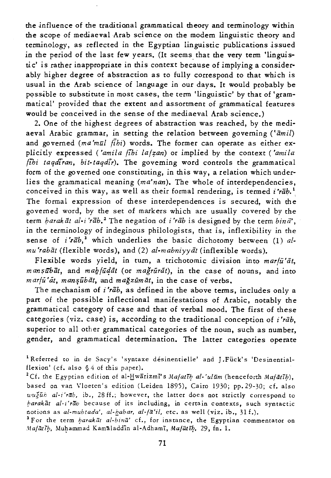the influence of the traditional grammatical theory and terminology within the scope of mediaeval Arab science on the modem Linguistic theory and terminology, as reflected in the Egyptian linguistic publications issued in the period of the last few years. (It seems that the very term 'linguistic' is rather inappropriate in this context because of implying a considerably higher degree of abstraction as to fully correspond to that which is usual in the Arab science of language in our days. It would probably be possible to substitute in most cases, the term 'linguistic' by that of 'grammatical' provided that the extent and assortment of grammatical features would be conceived in the sense of the mediaeval Arab science.)

2. One of the highest degrees of abstraction was reached, by the mediaeval Arabic grammar, in setting the relation between governing *('amil)*  and governed *(ma'mul fibi)* words. The former can operate as either explicitly expressed *('amila fibi la/zan)* or implied by the context *('amila (ihi taqdiran, bit-taqdir)*. The governing word controls the grammatical form of the governed one constituting, in this way, a relation which underlies the grammatical meaning *(ma'nan).* The whole of interdependencies, conceived in this way, as well as their formal rendering, is termed *i'rab*.<sup>1</sup> The formal expression of these interdependences *is* secured, with the governed word, by the set of markers which are usually covered by the term *harak āt al-i'rāb*.<sup>2</sup> The negation of *i'rāb* is designed by the term  $\frac{b}{n}$ , in the terminology of indeginous philologists, that is, inflexibility in the sense of *i'rab*,<sup>3</sup> which underlies the basic dichotomy between (1) al*mu 'rabiit* (flexible words), and (2) *al-mabniyyiit* (inflexible words).

Flexible words yield, in turn, a trichotomic *division* into *mar/u'at, m an \$iib at,* and *mab/iiqiit* (or *magruriit),* in the case of nouns, and into  $\frac{m \pi}{u'}$ at, mansubāt, and mağzumāt, in the case of verbs.

The mechanism of *i'rab,* as defined in the above terms, includes only a part of the possible inflectional manifestations of Arabic, notably the grammatical category of case and that of verbal mood. The first of these categories *(viz.* case) is, according to the traditional conception of *i'rab,*  superior to all other grammatical categories of the noun, such as number, gender, and grammatical determination. The latter categories operate

<sup>1</sup> Referred to in de Sacy's 'syntaxe désinentielle' and J.Fück's 'Desinentialflexion' (cf. also § 4 of this paper).

<sup>2</sup>Cf. the Egyptian edition of al- $\frac{H}{L}$ warizmi's *Mafatib* al-'ulum (henceforth *Mafatib*), based on van Vloeten's edition (Leiden 1895), Cairo 1930; pp. 29-30; cf. also *wužūh al-i'rāb*, ib., 28 ff.; however, the latter does not strictly correspond to *barakat al-z'rab* because of its including, in certain contexts, such syntactic notions as *al-mubtada', al-habar, al-Ia'il,* etc. as well (viz. ib., 31 f.).

<sup>3</sup> For the term *barakat al-bina'* cf., for instance, the Egyptian commentator on *Mafatib*, Muhammad Kamaladdin al-Adhami, *Mafatib*, 29, fn. 1.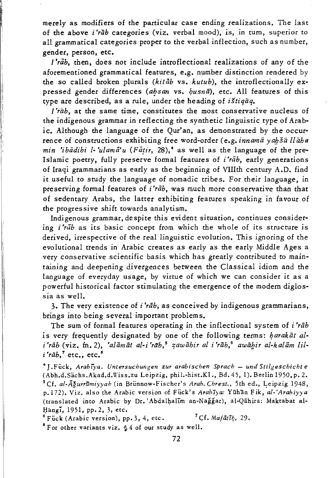merely as modifiers of the particular case ending realizations. The last of the above *i'rab* categories *(viz.* verbal mood), is, in turn, superior to all grammatical categories proper to the verbal inflection, such as number, gender, person, etc.

*['rab,* then, does not include introflectional realizations of any of the aforementioned grammatical features, e.g. number distinction rendered by the so called broken plurals *(kitab* vs. *kutub),* the introflectionally expressed gender differences (absan vs. *husnā*), etc. All features of this type are described, as a rule, under the heading of *istiqiiq.* 

*['rab,* at the same time, constitutes the most conservative nucleus of the indigenous grammar in reflecting the synthetic linguistic type of Arab*ic.* Although the language of the Qur'an, as demonstrated by the occurrence of constructions exhibiting free word-order (e.g. *innama yah ša llaha min 'ibādihi l-'ulamā'u* (Fātir, 28),<sup>4</sup> as well as the language of the pre-Islamic poetry, fully preserve formal features of *i'rab,* early generations of Iraqi grammarians as early as the beginning of VIIIth century A.D. find it useful to study the language of nomadic tribes. For their language, in preserving formal features of *i'rab*, was much more conservative than that of sedentary Arabs, the latter exhibiting features speaking in favour of the progressive shift towards analytism.

Indigenous grammar, despite this evident situation, continues considering *i'rab* as its basic concept from which the whole of its structure *is*  derived, irrespective of the real linguistic evolution. This ignoring of the evolutional trends in Arabic creates as early as the early Middle Ages a very conservative scientific basis which has greatly contributed to maintaining and deepening divergences between the Classical idiom and the language of everyday usage, by virtue of which we can consider it as a powerful historical factor stimulating the emergence of the modem diglossia as well.

3. The very existence of i *'rab,* as conceived by indigenous grammarians, brings into being several important problems.

The sum of formal features operating in the inflectional system of *i'rab* is very frequently designated by one of the following terms: *harakat al*i'rab (viz. fn. 2), 'alamat al-i'rab,<sup>5</sup> zawahir al i'rab,<sup>6</sup> awahir al-kalam lil $i$ *'rāb*,<sup>7</sup> etc., etc.<sup>8</sup>

4 J .Flick, *Arabi).'a. Untersuchunsen zur arabiscben Sprach* - *und Stilgeschicbt e*  (Abh.d.Sachs.Akad.d.Wiss.zu Leipzig, phil.-hist.K1., Bd. 45,1). Berlin 1950, p. 2. <sup>5</sup> Cf. al-Āğurrūmiyyah (in Brünnow-Fischer's *Arab. Chrest.*, 5th ed., Leipzig 1948, p.l72). Viz. also the Arabic version of Fiick's *Arabzya:* Yiihan Fik, *al·'Arabiyya*  (translated into Arabic by Dr. 'Abdalhalim an-Nağğar), al-Qāhira: Maktabat al-Hangi, 1951, pp. 2, 3, etc.

 $^6$  Fück (Arabic version), pp. 3, 4, etc. <sup>7</sup> Cf. Mafatih, 29.  $8$  For other variants viz.  $64$  of our study as well.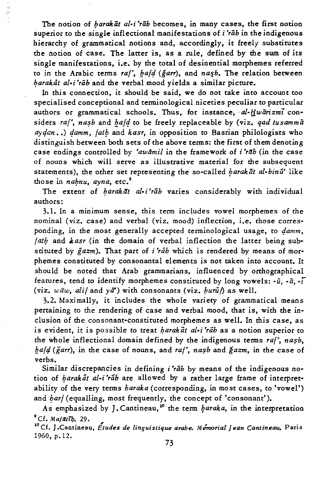The notion of *barakat al-i'rab* becomes, in many cases, the first notion superior to the single inflectional manifestations of *i'rab* in the indigenous hierarchy of grammatical notions and, accordingly, it freely substitutes the notion of case. The latter is, as a rule, defined by the sum of its single manifestations, i.e. by the total of desinential morphemes referred to in the Arabic terms raf', *hafd* (garr), and nash. The relation between barakat al-i'rab and the verbal mood yields a similar picture.

 $\frac{\partial \lambda}{\partial t}$ 

In this connection, it should be said, we do not take into account too specialised conceptional and terminological niceties peculiar to particular authors or grammatical schools. Thus, for instance, al-Hwarizmi considers raf', nasb and *hafd* to be freely replaceable by (viz. *qad tusamma*  $a_{\gamma}$ *damm, (ath and kasr, in opposition to Basrian philologists who* distinguish between both sets of the above terms: the first of them denoting case endings controlled by 'awamil in the framework of *i'rab* (in the case of nouns which will serve as illustrative material for the subsequent statements), the other set representing the so-called *barakat al-bina'* like those in *nabnu*, *ayna*, etc.<sup>9</sup>

The extent of *barakat al-i'rab* varies considerably with individual authors:

3.1. In a minimum sense, this term includes vowel morphemes of che nominal (viz. case) and verbal (viz. mood) inflection, i.e. those corresponding, in the most generally accepted terminological usage, to *damm*, *lath* and *kasr* (in the domain of verbal inflection the latter being substituted by *gazm).* That part of *i'rab* which is rendered by means of morphemes constituted by consonantal elements is not taken into account. It should be noted that Arab grammarians, influenced by orthographica1 features, tend to identify morphemes constituted by long vowels: *-u, -a,* -r (viz.  $w \bar{a} w$ ,  $d i /$  and  $y \bar{a}'$ ) with consonants (viz.  $b u r \bar{u} f$ ) as well.

3.2. Maximally, it includes the whole variety of grammatical means pertaining to the rendering of case and verbal mood, that is, with the inclusion of the consonant-constituted morphemes as well. In *this* case, as is evident, it is possible to treat *harak at al-i'rab* as a notion superior to the whole inflectional domain defined by the indigenous terms *raf'*, *nasb*, *bald (garr)*, in the case of nouns, and *raf'*, *nasb* and *gazm*, in the case of verbs.

Similar discrepancies in defining *i'rab* by means of the indigenous notion of *barakat al-i'rab* are allowed by a rather large frame of interpretability of the very terms *haraka* (corresponding, in most cases, to 'vowel') and bar/(equalling, most frequently, the concept of 'consonant').

As emphasized by J. Cantineau,<sup>10</sup> the term  $\beta$ araka, in the interpretation  $^9$ Cf. *Majatīb*. 29.

<sup>10</sup> Cf. J. Cantineau, *Etudes de linguistique arabe. Memorial Jean Cantineau*, Paris 1960, p.12.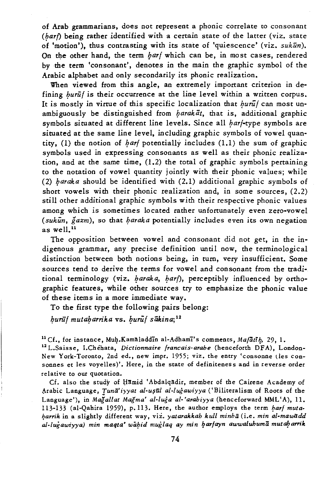of Arab grammarians, does not represent a phonic correlate to consonant  $(har)$  being rather identified with a certain state of the latter (viz. state of 'motion'), thus contrasting with its state of 'quiescence' (viz. *sukun*). On the other hand, the term *harf* which can be, in most cases, rendered by the term 'consonant', denotes in the main the graphic symbol of the Arabic alphabet and only secondarily its phonic realization.

When viewed from this angle, an extremely important criterion in defining *burūl* is their occurrence at the line level within a written corpus. It is mostly in virtue of this specific localization that *burut* can most unambiguously be distinguished from *harakat*, that is, additional graphic symbols situated at different line levels. Since all *harf-type* symbols are situated at the same line level, including graphic symbols of vowel quantity, (1) the notion of *barf* potentially includes  $(1,1)$  the sum of graphic symbols used in expressing consonants as well as their phonic realization, and at the same time, (1.2) the total of graphic symbols pertaining to the notation of vowel quantity jointly with their phonic values; while (2) *haraka* should be identified with (2.1) additional graphic symbols of short vowels with their phonic realization and, in some sources, (2.2) still other additional graphic symbols *with* their respective phonic values among which is sometimes located rather unfortunately even zero-vowel (sukūn, gazm), so that *haraka* potentially includes even its own negation as well.<sup>11</sup>

The opposition between vowel and consonant did not get, in the indigenous grammar, any precise definition until now, the terminological distinction between both notions being, in turn, very insufficient. Some sources tend to derive the terms for vowel and consonant from the traditional terminology (viz. *baraka*, *barl*), perceptibly influenced by orthographic features, while other sources try to emphasize the phonic value of these items in a more immediate way.

To the first type the following pairs belong:

 $b$ urūf *mutabarrika* vs.  $b$ urūf sākina;<sup>12</sup>

<sup>11</sup> Cf., for instance, Muh.Kamaladdin al-Adhami's comments, Mafatih, 29, 1. 12 L.Saisse, I.Chehata, *Dictionnaire /rancais-arabe* (henceforth DFA), London-New York-Toronto, 2nd ed., new impr. 1955; viz. the entry 'consonne (les consonnes et les voyelles)'. Here, in the state of definitenes s and in reverse order relative to our quotation.

Cf. also the study of Hamid 'Abdalqadir, member of the Cairene Academy of Arabic Language, *Tunā'iyyat al-uşūl al-luğawiyya* ('Biliteralism of Roots of the Language'), in *Magallat Magma' al-Iuga al- 'arabiyya* (henceforward MML' A), 11. 113-133 (al-Qahira 1959), p.113. Here, the author employs the term *barf mutai?arrik* in a slightly different way, viz. *yatarakkab kull minha* (i.e. *min al-mawadd al-Iugawiyya) min maqta'* wa~id *muglaq ay min* ~ar/ayn *awwaluhuma* mut~arrik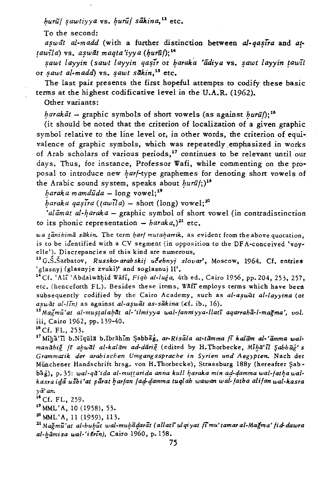$bur\bar{u}$  sawtiyya vs. buruf sākina,<sup>13</sup> etc.

To the second:

aswat al-madd (with a further distinction between al-qasira and at $tau$ iawila) vs. aswāt maata'iyya (burūf);<sup>14</sup>

~awt *layyin (sawt layyin* qa~ir or ~araka *'adiya* vs. ~awt *layyin !aw'il*  or *sawt al-madd*) vs. *sawt sākin*,<sup>15</sup> etc.

The last pair presents the first hopeful attempts to codify these basic terms at the highest codificative level in the U.A.R. (1962).

Other variants:

*harakat* - graphic symbols of short vowels (as against *burut*); <sup>16</sup>

(it should be noted that the criterion of localization of a given graphic symbol relative to the line level or, in other words, the criterion of equivalence of graphic symbols, which was repeatedly, emphasized in works of Arab scholars of various periods,<sup>17</sup> continues to be relevant until our days. Thus, for instance, Professor Wafi, while commenting on the proposal to introduce new *harf-type* graphemes for denoting short vowels of the Arabic sound system, speaks about  $bur\bar{u}$ ;)<sup>18</sup>

 $baraka$  *mamdūda* - long vowel;<sup>19</sup>

 $baraka qaşira (tau\ddot{a}) - short (long) vowel;<sup>20</sup>$ 

'al $\bar{a}$ *mat al-haraka* – graphic symbol of short vowel (in contradistinction to its phonic representation  $-$  *haraka*,)<sup>21</sup> etc.

wa tanihima sakin. The term *harf mutaharrik*, as evident from the above quotation, is to be identified with a CV segment (in opposition to the DF A-conceived 'voy· elle'). Discrepancies of this kind are numerous.

<sup>13</sup> G.S.Sarbatov, *Russko-arabskij učebnyj slovar'*, Moscow, 1964. Cf. entries 'glasnyj (glasnyje zvuki)' and soglasnuj II'.

<sup>14</sup> Cf. 'Ali 'Abdalwahid Wafi, *Fiqh al-luga*, 4th ed., Cairo 1956, pp. 204, 253, 257, etc. (henceforth FL). Besides these items, Waff employs terms which have been subsequently codified by the Cairo Academy, such as al-aswat al-layyina (or aswāt al-lin) as against al-așwāt as-sākina (cf. ib., 16).

<sup>15</sup> Magmu'at al-mustalahat al-'ilmiyya wal-fanniyya-llati aqarraha-l-magma', vol. iii, Cairo 1962, pp. 139-40.

 $^{16}$  Cf. FL, 253.

<sup>17</sup> Miha'il b.Niqula b.Ibrahim Sabbag, ar-Risala at-tāmma fi kalām al-'āmma walmanahiğ *(i ahwal al-kalam ad-dāriğ* (edited by H. Thorbecke, Miha'il Sabbag's *Grammatik der arabischen Umgangssprache in Syrien und Aegypten.* Nach der Münchener Handschrift hrsg. von H. Thorbecke), Strassburg 188y (hereafter Sabbag), p. 35: wal-qā'ida al-muṭṭ arida anna kull haraka min ad-damma wal-fatha wal*kaSTa itja uSbi 'at* ~arat ~ar/an */a4-qamma tuqlab wawan wal-/atba ali/an wal-Icasra ya'an.* 

 $^{18}$  Cf. FL, 259.

<sup>19</sup> MML'A, 10 (1958), 53.

 $^{20}$  MML'A, 11 (1959), 113.

<sup>21</sup> Mağmu'at al-buhut wal-muhadarat (allati ulqiyat fimu'tamar al-Mağma' fid-dawra al-hāmisa wal-'išrīn), Cairo 1960, p. 158.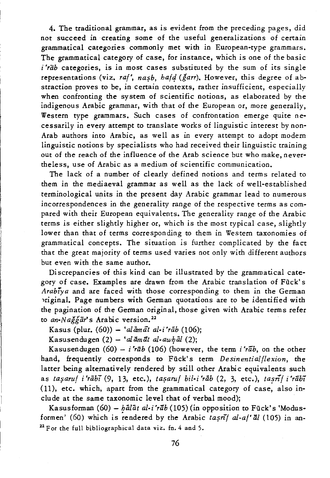4. The traditional grammar, as is evident from the preceding pages, did not succeed in creating some of the useful generalizations of certain grammatical categories commonly met with in European-type grammars. The grammatical category of case, for instance, which is one of the basic *i'rab* categories, is in most cases substituted by the sum of its single representations (viz. *ral'*, *nasb, bafd* (*ğarr*). However, this degree of abstraction proves to be, in certain contexts, rather insufficient, especially when confronting the system of scientific notions, as elaborated by the indigenous Arabic grammar, with that of the European or, more generally, Western type grammars. Such cases of confrontation emerge quite necessarily in every attempt to translate works of linguistic interest by non-Arab authors into Arabic, as well as in every attempt to adopt modern linguistic notions by specialists who had received their linguistic training out of the reach of the influence of the Arab science but who make, nevertheless, use of Arabic as a medium of scientific communication.

The lack of a number of clearly defined notions and terms related to them in the mediaeval grammar as well as the lack of well-established terminological units in the present day Arabic grammar lead to numerous incorrespondences in the generality range of the respective terms as compared with their European equivalents. The generality range of the Arabic terms is either slightly higher or, which is the most typical case, slightly lower than that of terms corresponding to them in Western taxonomies of grammatical concepts. The situation is further complicated by the fact that the great majority of terms used varies not only with different authors but even with the same author.

Discrepancies of this kind can be illustrated by the grammatical category of case. Examples are drawn from the Arabic translation of Fiick's *Arabiya* and are faced with those corresponding to them in the German priginal. Page numbers with German quotations are to be identified with the pagination of the German original, those given with Arabic terms refer to *an-Nağğār's* Arabic version.<sup>22</sup>

Kasus (plur. (60)) - 'alāmāt al-i'rāb (106);

Kasusendugen  $(2) - 'al\bar{a}m\bar{a}t$  al-awhal  $(2)$ ;

Kasusendugen  $(60) - i'$ rāb  $(106)$  (however, the term  $i'$ rāb, on the other hand, frequently corresponds to Fiick's term *Desinentialflexion,* the latter being alternatively rendered by still other Arabic equivalents such as *tasaruf i'rābī* (9, 13, etc.), tasaruf *bil-i'rāb* (2, 3, etc.), tasrīf *i'rābī* (11), etc. which, apart from the grammatical category of case, also include at the same taxonomic level that of verbal mood);

Kasusforman (60) - *halat al-i'rab* (105) (in opposition to Fück's 'Modusformen' (60) which is rendered by the Arabic tasni<sup>1</sup> al-a<sup>t</sup> al (105) in an- $22$  For the full bibliographical data viz. fn. 4 and 5.

76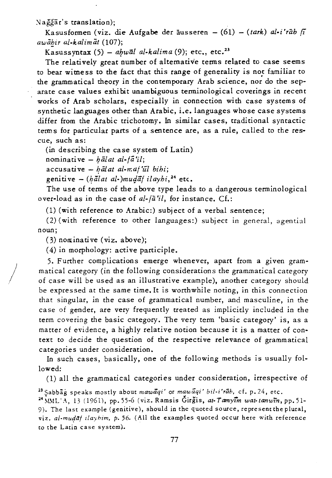Nağğar's translation);

Kasusformen (viz. die Aufgabe der äusseren - (61) - *(tark) al-i'rāb fi awiihir al-kalimat (107);* 

Kasussyntax  $(5)$  - ahwal al-kalima  $(9)$ ; etc., etc.<sup>23</sup>

The relatively great number of alternative terms related to case seems to bear wimess to the fact that this range of generality is not familiar to the grammatical theory in the contemporary Arab science, nor do the separate case values exhi bit unambiguous terminological coverings in recent works of Arab scholars, especially in connection with case systems of synthetic languages other than Arabic, i.e. languages whose case systems differ from the Arabic trichotomy. In similar cases, traditional syntactic term s for particular parts of a sentence are, as a rule, called to the rescue, such as:

(in describing the case system of Latin)

nominative - *halat al-fa'il*;

 $accusative - b\bar{a}$ l at al-maf'ul bihi;

genitive - (hālat al-)mudāf ilayhi,<sup>24</sup> etc.

The use of terms of the above type leads to a dangerous terminological over-load as in the case of *al-*  $\{a^r : l\}$ , for instance. Cf.:

(1) (with reference to Arabic:) subject of a verbal sentence;

(2) (with reference to other languages:) subject in general, agential noun;

 $(3)$  nominative (viz. above);

/

(4) in morphology: active participle.

5. Further complications emerge whenever, apart from a given grammatical category (in the following considerations the grammatical category of case will be used as an illustrative example), another category should be expressed at the same *time.* It is worthwhile noting, in *this* connection that singular, in the case of grammatical number, and masculine, in the case of gender, are very frequently treated as implicitly included in the term covering the basic category. The very term 'basic category' *is,* as a matter of evidence, a highly relative notion because it is a matter of context to decide the question of the respective relevance of grammatical categories under consideration.

In such cases, basically, one of the following methods is usually followed:

(1) all the grammatical categories under consideration, irrespective of

<sup>23</sup> Sabbag speaks mostly about *mawaqi'* or *mawaqi' bil-i'rab*, cf. p. 24, etc. 24~L\IL':\, 13 (1961), pp. 55-6 (viz. Ramsis Girgis, *at-Tamyim wat-tanwTn,* pp. 51- 9). The last example (genitive), should in the quoted source, represent the plural, viz. al-mudaf ilayhim, p. 56. (All the examples quoted occur here with reference to the Latin case system).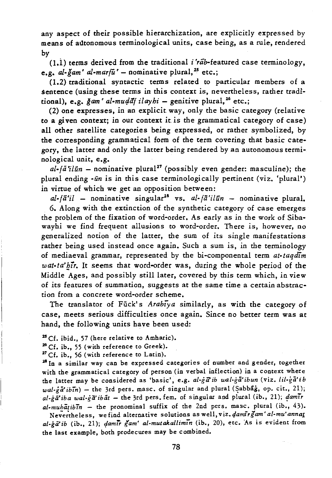any aspect of their possible hierarchization, are explicitly expressed by means of alltonomous terminological units, case being, as a rule, rendered by

 $(1,1)$  terms derived from the traditional *i'rab*-featured case terminology, e.g.  $al$ -gam'  $al$ -marfu' - nominative plural,<sup>25</sup> etc.;

(1.2) traditional syntactic terms related to particular members of a sentence (using these terms in this context *is,* nevertheless, rather traditional), e.g.  $\frac{\gamma}{2}$ am' al-mudd<sup>i</sup> ilayhi – genitive plural, <sup>26</sup> etc.;

(2) one expresses, in an explicit way, only the basic category (relative to a given context; in our context it is the grammatical category of case) all other satellite categories being expressed, or rather symbolized, by the corresponding grammatical form of the term covering that basic category, the latter and only the latter being rendered by an autonomous terminological unit, e.g.

 $al$ -*fa'ilūn* – nominative plural<sup>27</sup> (possibly even gender: masculine); the plural ending *-un is* in this case terminologically pertinent (viz. 'plural') in virtue of which we get an opposition between:

*al-fa'il* - nominative singular28 vs. *al-fa'ilun* - nominative plural. 6. Along with the extinction of the synthetic category of case emerges the problem of the fixation of word-order. As early as in the work of Sibawayhi we find frequent allusions to word-order. There *is,* however, no generalized notion of the latter, the sum of its single manifestations rather being used instead once again. Such a sum *is,* in the terminology of mediaeval grammar, represented by the bi-componental term *at-taqazm*  wat-ta' hir. It seems that word-order was, during the whole period of the Middle Ages, and possibly still later, covered by this term which, in view of its features of summation, suggests at the same time a certain abstraction from a concrete word-order scheme.

The translator of Fück's *Arabiya* similarly, as with the category of case, meets serious difficulties once again. Since no better term was at hand, the following units have been used:

<sup>25</sup> Cf. ibid., 57 (here relative to Amharic).

<sup>26</sup>Cf. ib., 55 (with reference to Greek).

 $27$  Cf. ib., 56 (with reference to Latin).

<sup>28</sup> In a similar way can be expressed categories of number and gender, together with the grammatical category of person (in verbal inflection) in a context where the latter may be considered as 'basic', e.g. al-ga'ib wal-ga'ibun (viz. *lil-ga'ib wal-ga'ibin*) - the 3rd pers. masc. of singular and plural (Sabbag, op. cit., 21); *al-gii'iba wal-g(i'ibiit* - the 3rd pers. feme of singular and plural (ib., 21); *1amir*   $al\text{-}mub\bar{a}tib\bar{b}n$  - the pronominal suffix of the 2nd pers. masc. plural (ib., 43).

Nevertheless, we find alternative solutions as well, viz. damirgam' al-mu' annat *al-ga'ib* (ib., 21); *qamir gam' al-mutakallimtn* (ib., 20), etc. As is evident from the last example, both prodecures may be combined.